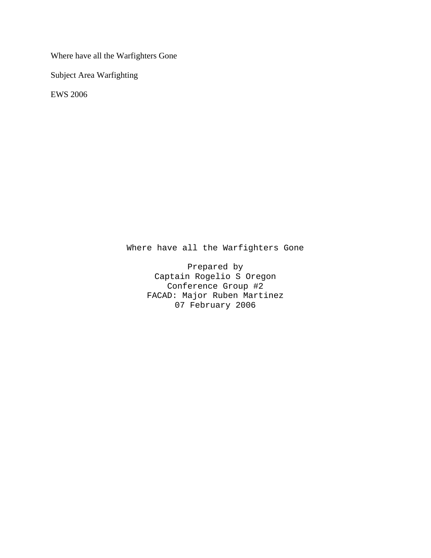Where have all the Warfighters Gone

Subject Area Warfighting

EWS 2006

Where have all the Warfighters Gone

Prepared by Captain Rogelio S Oregon Conference Group #2 FACAD: Major Ruben Martinez 07 February 2006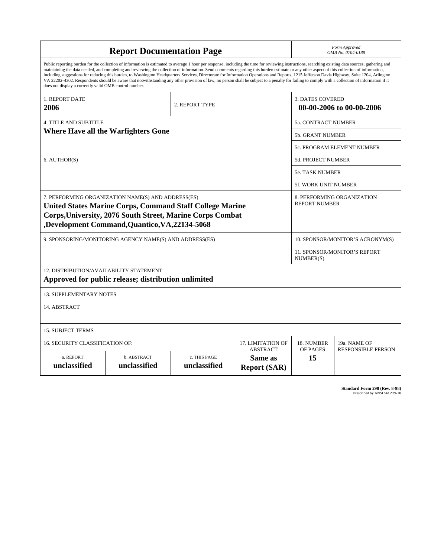| <b>Report Documentation Page</b>                                                                                                                                                                                                                                                                                                                                                                                                                                                                                                                                                                                                                                                                                                                                                                                                                                   |                             |                              |                                                   | Form Approved<br>OMB No. 0704-0188                  |                           |
|--------------------------------------------------------------------------------------------------------------------------------------------------------------------------------------------------------------------------------------------------------------------------------------------------------------------------------------------------------------------------------------------------------------------------------------------------------------------------------------------------------------------------------------------------------------------------------------------------------------------------------------------------------------------------------------------------------------------------------------------------------------------------------------------------------------------------------------------------------------------|-----------------------------|------------------------------|---------------------------------------------------|-----------------------------------------------------|---------------------------|
| Public reporting burden for the collection of information is estimated to average 1 hour per response, including the time for reviewing instructions, searching existing data sources, gathering and<br>maintaining the data needed, and completing and reviewing the collection of information. Send comments regarding this burden estimate or any other aspect of this collection of information,<br>including suggestions for reducing this burden, to Washington Headquarters Services, Directorate for Information Operations and Reports, 1215 Jefferson Davis Highway, Suite 1204, Arlington<br>VA 22202-4302. Respondents should be aware that notwithstanding any other provision of law, no person shall be subject to a penalty for failing to comply with a collection of information if it<br>does not display a currently valid OMB control number. |                             |                              |                                                   |                                                     |                           |
| <b>1. REPORT DATE</b><br>2006                                                                                                                                                                                                                                                                                                                                                                                                                                                                                                                                                                                                                                                                                                                                                                                                                                      | 2. REPORT TYPE              |                              |                                                   | <b>3. DATES COVERED</b><br>00-00-2006 to 00-00-2006 |                           |
| <b>4. TITLE AND SUBTITLE</b>                                                                                                                                                                                                                                                                                                                                                                                                                                                                                                                                                                                                                                                                                                                                                                                                                                       |                             |                              |                                                   | 5a. CONTRACT NUMBER                                 |                           |
| <b>Where Have all the Warfighters Gone</b>                                                                                                                                                                                                                                                                                                                                                                                                                                                                                                                                                                                                                                                                                                                                                                                                                         |                             |                              |                                                   | <b>5b. GRANT NUMBER</b>                             |                           |
|                                                                                                                                                                                                                                                                                                                                                                                                                                                                                                                                                                                                                                                                                                                                                                                                                                                                    |                             |                              |                                                   | <b>5c. PROGRAM ELEMENT NUMBER</b>                   |                           |
| 6. AUTHOR(S)                                                                                                                                                                                                                                                                                                                                                                                                                                                                                                                                                                                                                                                                                                                                                                                                                                                       |                             |                              |                                                   | <b>5d. PROJECT NUMBER</b>                           |                           |
|                                                                                                                                                                                                                                                                                                                                                                                                                                                                                                                                                                                                                                                                                                                                                                                                                                                                    |                             |                              |                                                   | <b>5e. TASK NUMBER</b>                              |                           |
|                                                                                                                                                                                                                                                                                                                                                                                                                                                                                                                                                                                                                                                                                                                                                                                                                                                                    |                             |                              |                                                   | 5f. WORK UNIT NUMBER                                |                           |
| 7. PERFORMING ORGANIZATION NAME(S) AND ADDRESS(ES)<br><b>United States Marine Corps, Command Staff College Marine</b><br><b>Corps, University, 2076 South Street, Marine Corps Combat</b><br>,Development Command,Quantico,VA,22134-5068                                                                                                                                                                                                                                                                                                                                                                                                                                                                                                                                                                                                                           |                             |                              |                                                   | 8. PERFORMING ORGANIZATION<br><b>REPORT NUMBER</b>  |                           |
| 9. SPONSORING/MONITORING AGENCY NAME(S) AND ADDRESS(ES)                                                                                                                                                                                                                                                                                                                                                                                                                                                                                                                                                                                                                                                                                                                                                                                                            |                             |                              |                                                   | 10. SPONSOR/MONITOR'S ACRONYM(S)                    |                           |
|                                                                                                                                                                                                                                                                                                                                                                                                                                                                                                                                                                                                                                                                                                                                                                                                                                                                    |                             |                              |                                                   | 11. SPONSOR/MONITOR'S REPORT<br>NUMBER(S)           |                           |
| 12. DISTRIBUTION/AVAILABILITY STATEMENT<br>Approved for public release; distribution unlimited                                                                                                                                                                                                                                                                                                                                                                                                                                                                                                                                                                                                                                                                                                                                                                     |                             |                              |                                                   |                                                     |                           |
| <b>13. SUPPLEMENTARY NOTES</b>                                                                                                                                                                                                                                                                                                                                                                                                                                                                                                                                                                                                                                                                                                                                                                                                                                     |                             |                              |                                                   |                                                     |                           |
| 14. ABSTRACT                                                                                                                                                                                                                                                                                                                                                                                                                                                                                                                                                                                                                                                                                                                                                                                                                                                       |                             |                              |                                                   |                                                     |                           |
| <b>15. SUBJECT TERMS</b>                                                                                                                                                                                                                                                                                                                                                                                                                                                                                                                                                                                                                                                                                                                                                                                                                                           |                             |                              |                                                   |                                                     |                           |
| 16. SECURITY CLASSIFICATION OF:<br><b>17. LIMITATION OF</b>                                                                                                                                                                                                                                                                                                                                                                                                                                                                                                                                                                                                                                                                                                                                                                                                        |                             |                              |                                                   | 18. NUMBER                                          | 19a. NAME OF              |
| a. REPORT<br>unclassified                                                                                                                                                                                                                                                                                                                                                                                                                                                                                                                                                                                                                                                                                                                                                                                                                                          | b. ABSTRACT<br>unclassified | c. THIS PAGE<br>unclassified | <b>ABSTRACT</b><br>Same as<br><b>Report (SAR)</b> | OF PAGES<br>15                                      | <b>RESPONSIBLE PERSON</b> |

**Standard Form 298 (Rev. 8-98)**<br>Prescribed by ANSI Std Z39-18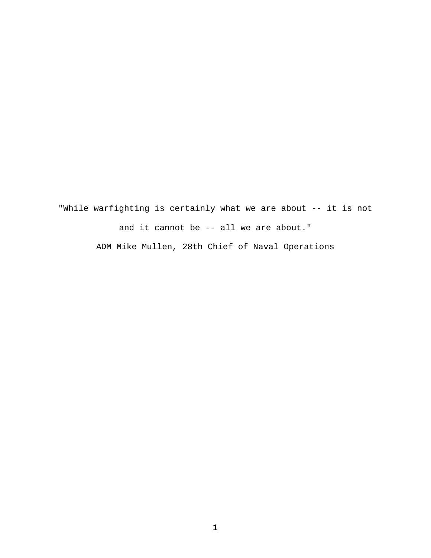"While warfighting is certainly what we are about -- it is not and it cannot be -- all we are about." ADM Mike Mullen, 28th Chief of Naval Operations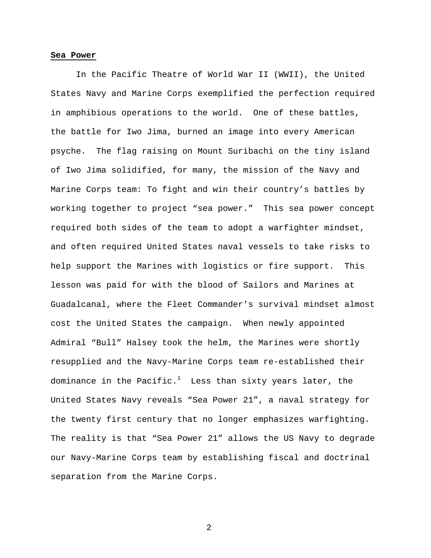#### **Sea Power**

 In the Pacific Theatre of World War II (WWII), the United States Navy and Marine Corps exemplified the perfection required in amphibious operations to the world. One of these battles, the battle for Iwo Jima, burned an image into every American psyche. The flag raising on Mount Suribachi on the tiny island of Iwo Jima solidified, for many, the mission of the Navy and Marine Corps team: To fight and win their country's battles by working together to project "sea power." This sea power concept required both sides of the team to adopt a warfighter mindset, and often required United States naval vessels to take risks to help support the Marines with logistics or fire support. This lesson was paid for with the blood of Sailors and Marines at Guadalcanal, where the Fleet Commander's survival mindset almost cost the United States the campaign. When newly appointed Admiral "Bull" Halsey took the helm, the Marines were shortly resupplied and the Navy-Marine Corps team re-established their dominance in the Pacific. $^1$  -Less than sixty years later, the United States Navy reveals "Sea Power 21", a naval strategy for the twenty first century that no longer emphasizes warfighting. The reality is that "Sea Power 21" allows the US Navy to degrade our Navy-Marine Corps team by establishing fiscal and doctrinal separation from the Marine Corps.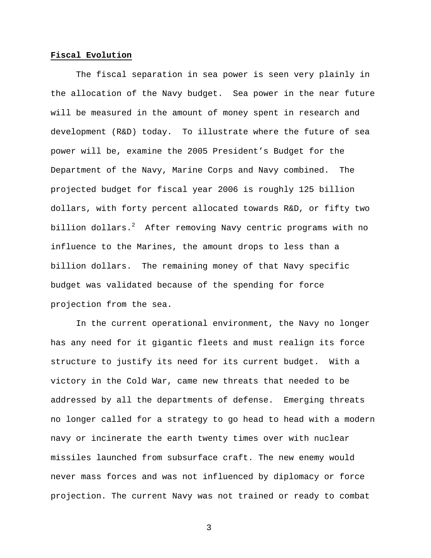# **Fiscal Evolution**

 The fiscal separation in sea power is seen very plainly in the allocation of the Navy budget. Sea power in the near future will be measured in the amount of money spent in research and development (R&D) today. To illustrate where the future of sea power will be, examine the 2005 President's Budget for the Department of the Navy, Marine Corps and Navy combined. The projected budget for fiscal year 2006 is roughly 125 billion dollars, with forty percent allocated towards R&D, or fifty two billion dollars. $^2$  After removing Navy centric programs with no influence to the Marines, the amount drops to less than a billion dollars. The remaining money of that Navy specific budget was validated because of the spending for force projection from the sea.

In the current operational environment, the Navy no longer has any need for it gigantic fleets and must realign its force structure to justify its need for its current budget. With a victory in the Cold War, came new threats that needed to be addressed by all the departments of defense. Emerging threats no longer called for a strategy to go head to head with a modern navy or incinerate the earth twenty times over with nuclear missiles launched from subsurface craft. The new enemy would never mass forces and was not influenced by diplomacy or force projection. The current Navy was not trained or ready to combat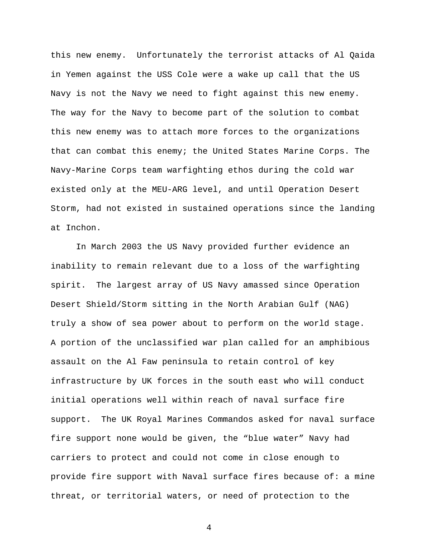this new enemy. Unfortunately the terrorist attacks of Al Qaida in Yemen against the USS Cole were a wake up call that the US Navy is not the Navy we need to fight against this new enemy. The way for the Navy to become part of the solution to combat this new enemy was to attach more forces to the organizations that can combat this enemy; the United States Marine Corps. The Navy-Marine Corps team warfighting ethos during the cold war existed only at the MEU-ARG level, and until Operation Desert Storm, had not existed in sustained operations since the landing at Inchon.

In March 2003 the US Navy provided further evidence an inability to remain relevant due to a loss of the warfighting spirit. The largest array of US Navy amassed since Operation Desert Shield/Storm sitting in the North Arabian Gulf (NAG) truly a show of sea power about to perform on the world stage. A portion of the unclassified war plan called for an amphibious assault on the Al Faw peninsula to retain control of key infrastructure by UK forces in the south east who will conduct initial operations well within reach of naval surface fire support. The UK Royal Marines Commandos asked for naval surface fire support none would be given, the "blue water" Navy had carriers to protect and could not come in close enough to provide fire support with Naval surface fires because of: a mine threat, or territorial waters, or need of protection to the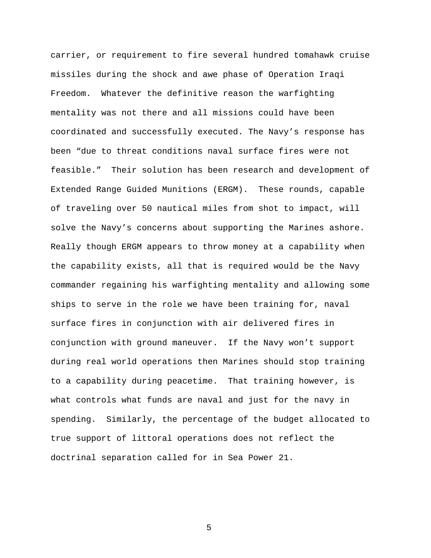carrier, or requirement to fire several hundred tomahawk cruise missiles during the shock and awe phase of Operation Iraqi Freedom. Whatever the definitive reason the warfighting mentality was not there and all missions could have been coordinated and successfully executed. The Navy's response has been "due to threat conditions naval surface fires were not feasible." Their solution has been research and development of Extended Range Guided Munitions (ERGM). These rounds, capable of traveling over 50 nautical miles from shot to impact, will solve the Navy's concerns about supporting the Marines ashore. Really though ERGM appears to throw money at a capability when the capability exists, all that is required would be the Navy commander regaining his warfighting mentality and allowing some ships to serve in the role we have been training for, naval surface fires in conjunction with air delivered fires in conjunction with ground maneuver. If the Navy won't support during real world operations then Marines should stop training to a capability during peacetime. That training however, is what controls what funds are naval and just for the navy in spending. Similarly, the percentage of the budget allocated to true support of littoral operations does not reflect the doctrinal separation called for in Sea Power 21.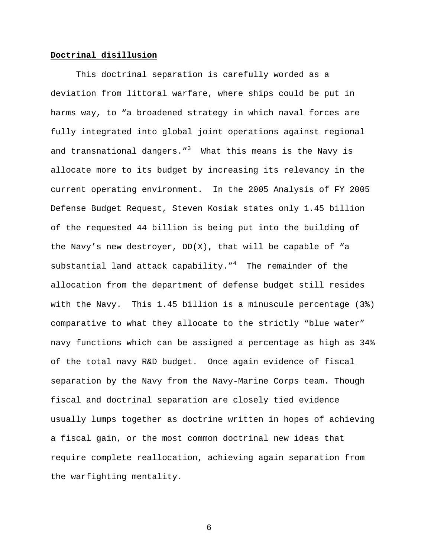### **Doctrinal disillusion**

This doctrinal separation is carefully worded as a deviation from littoral warfare, where ships could be put in harms way, to "a broadened strategy in which naval forces are fully integrated into global joint operations against regional and transnational dangers."<sup>3</sup> What this means is the Navy is allocate more to its budget by increasing its relevancy in the current operating environment. In the 2005 Analysis of FY 2005 Defense Budget Request, Steven Kosiak states only 1.45 billion of the requested 44 billion is being put into the building of the Navy's new destroyer, DD(X), that will be capable of "a substantial land attack capability."<sup>4</sup> The remainder of the allocation from the department of defense budget still resides with the Navy. This 1.45 billion is a minuscule percentage (3%) comparative to what they allocate to the strictly "blue water" navy functions which can be assigned a percentage as high as 34% of the total navy R&D budget. Once again evidence of fiscal separation by the Navy from the Navy-Marine Corps team. Though fiscal and doctrinal separation are closely tied evidence usually lumps together as doctrine written in hopes of achieving a fiscal gain, or the most common doctrinal new ideas that require complete reallocation, achieving again separation from the warfighting mentality.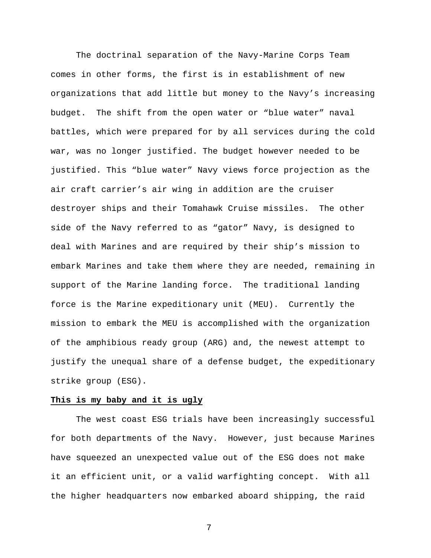The doctrinal separation of the Navy-Marine Corps Team comes in other forms, the first is in establishment of new organizations that add little but money to the Navy's increasing budget. The shift from the open water or "blue water" naval battles, which were prepared for by all services during the cold war, was no longer justified. The budget however needed to be justified. This "blue water" Navy views force projection as the air craft carrier's air wing in addition are the cruiser destroyer ships and their Tomahawk Cruise missiles. The other side of the Navy referred to as "gator" Navy, is designed to deal with Marines and are required by their ship's mission to embark Marines and take them where they are needed, remaining in support of the Marine landing force. The traditional landing force is the Marine expeditionary unit (MEU). Currently the mission to embark the MEU is accomplished with the organization of the amphibious ready group (ARG) and, the newest attempt to justify the unequal share of a defense budget, the expeditionary strike group (ESG).

# **This is my baby and it is ugly**

The west coast ESG trials have been increasingly successful for both departments of the Navy. However, just because Marines have squeezed an unexpected value out of the ESG does not make it an efficient unit, or a valid warfighting concept. With all the higher headquarters now embarked aboard shipping, the raid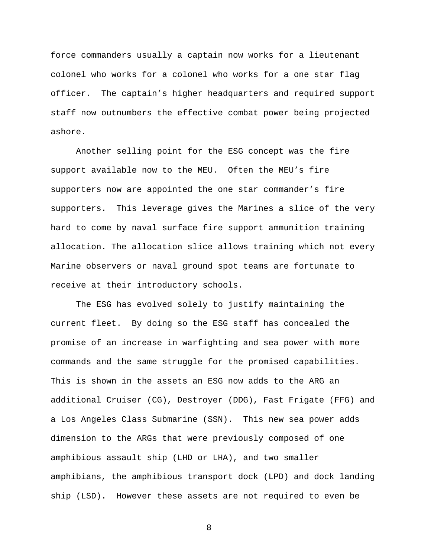force commanders usually a captain now works for a lieutenant colonel who works for a colonel who works for a one star flag officer. The captain's higher headquarters and required support staff now outnumbers the effective combat power being projected ashore.

Another selling point for the ESG concept was the fire support available now to the MEU. Often the MEU's fire supporters now are appointed the one star commander's fire supporters. This leverage gives the Marines a slice of the very hard to come by naval surface fire support ammunition training allocation. The allocation slice allows training which not every Marine observers or naval ground spot teams are fortunate to receive at their introductory schools.

The ESG has evolved solely to justify maintaining the current fleet. By doing so the ESG staff has concealed the promise of an increase in warfighting and sea power with more commands and the same struggle for the promised capabilities. This is shown in the assets an ESG now adds to the ARG an additional Cruiser (CG), Destroyer (DDG), Fast Frigate (FFG) and a Los Angeles Class Submarine (SSN). This new sea power adds dimension to the ARGs that were previously composed of one amphibious assault ship (LHD or LHA), and two smaller amphibians, the amphibious transport dock (LPD) and dock landing ship (LSD). However these assets are not required to even be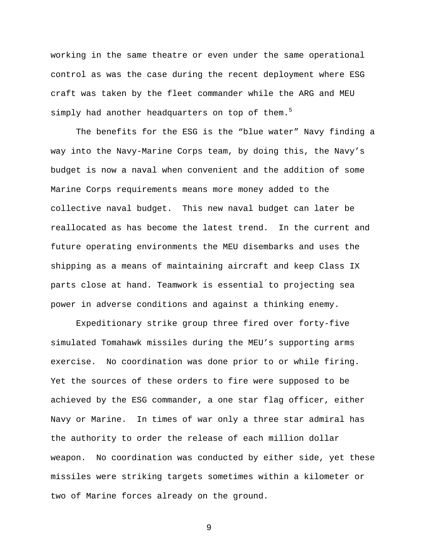working in the same theatre or even under the same operational control as was the case during the recent deployment where ESG craft was taken by the fleet commander while the ARG and MEU simply had another headquarters on top of them.<sup>5</sup>

The benefits for the ESG is the "blue water" Navy finding a way into the Navy-Marine Corps team, by doing this, the Navy's budget is now a naval when convenient and the addition of some Marine Corps requirements means more money added to the collective naval budget. This new naval budget can later be reallocated as has become the latest trend. In the current and future operating environments the MEU disembarks and uses the shipping as a means of maintaining aircraft and keep Class IX parts close at hand. Teamwork is essential to projecting sea power in adverse conditions and against a thinking enemy.

 Expeditionary strike group three fired over forty-five simulated Tomahawk missiles during the MEU's supporting arms exercise. No coordination was done prior to or while firing. Yet the sources of these orders to fire were supposed to be achieved by the ESG commander, a one star flag officer, either Navy or Marine. In times of war only a three star admiral has the authority to order the release of each million dollar weapon. No coordination was conducted by either side, yet these missiles were striking targets sometimes within a kilometer or two of Marine forces already on the ground.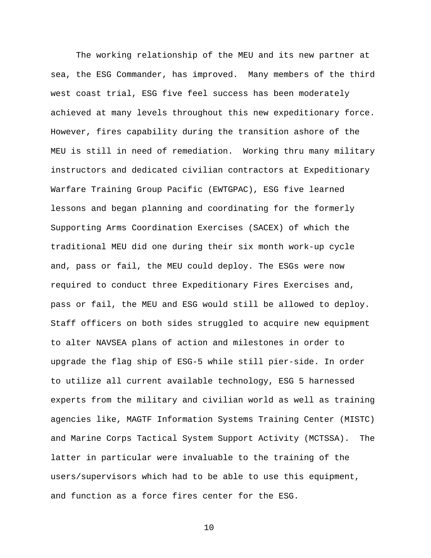The working relationship of the MEU and its new partner at sea, the ESG Commander, has improved. Many members of the third west coast trial, ESG five feel success has been moderately achieved at many levels throughout this new expeditionary force. However, fires capability during the transition ashore of the MEU is still in need of remediation. Working thru many military instructors and dedicated civilian contractors at Expeditionary Warfare Training Group Pacific (EWTGPAC), ESG five learned lessons and began planning and coordinating for the formerly Supporting Arms Coordination Exercises (SACEX) of which the traditional MEU did one during their six month work-up cycle and, pass or fail, the MEU could deploy. The ESGs were now required to conduct three Expeditionary Fires Exercises and, pass or fail, the MEU and ESG would still be allowed to deploy. Staff officers on both sides struggled to acquire new equipment to alter NAVSEA plans of action and milestones in order to upgrade the flag ship of ESG-5 while still pier-side. In order to utilize all current available technology, ESG 5 harnessed experts from the military and civilian world as well as training agencies like, MAGTF Information Systems Training Center (MISTC) and Marine Corps Tactical System Support Activity (MCTSSA). The latter in particular were invaluable to the training of the users/supervisors which had to be able to use this equipment, and function as a force fires center for the ESG.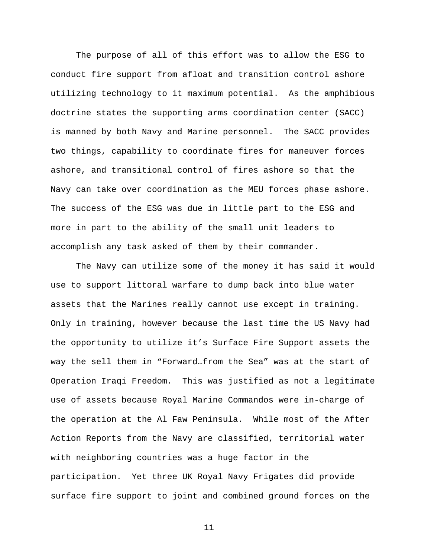The purpose of all of this effort was to allow the ESG to conduct fire support from afloat and transition control ashore utilizing technology to it maximum potential. As the amphibious doctrine states the supporting arms coordination center (SACC) is manned by both Navy and Marine personnel. The SACC provides two things, capability to coordinate fires for maneuver forces ashore, and transitional control of fires ashore so that the Navy can take over coordination as the MEU forces phase ashore. The success of the ESG was due in little part to the ESG and more in part to the ability of the small unit leaders to accomplish any task asked of them by their commander.

The Navy can utilize some of the money it has said it would use to support littoral warfare to dump back into blue water assets that the Marines really cannot use except in training. Only in training, however because the last time the US Navy had the opportunity to utilize it's Surface Fire Support assets the way the sell them in "Forward…from the Sea" was at the start of Operation Iraqi Freedom. This was justified as not a legitimate use of assets because Royal Marine Commandos were in-charge of the operation at the Al Faw Peninsula. While most of the After Action Reports from the Navy are classified, territorial water with neighboring countries was a huge factor in the participation. Yet three UK Royal Navy Frigates did provide surface fire support to joint and combined ground forces on the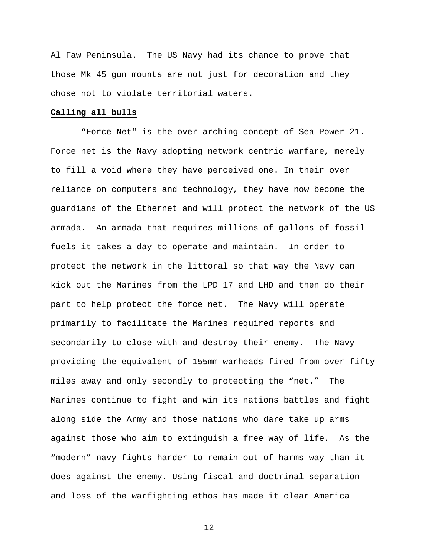Al Faw Peninsula. The US Navy had its chance to prove that those Mk 45 gun mounts are not just for decoration and they chose not to violate territorial waters.

## **Calling all bulls**

 "Force Net" is the over arching concept of Sea Power 21. Force net is the Navy adopting network centric warfare, merely to fill a void where they have perceived one. In their over reliance on computers and technology, they have now become the guardians of the Ethernet and will protect the network of the US armada. An armada that requires millions of gallons of fossil fuels it takes a day to operate and maintain. In order to protect the network in the littoral so that way the Navy can kick out the Marines from the LPD 17 and LHD and then do their part to help protect the force net. The Navy will operate primarily to facilitate the Marines required reports and secondarily to close with and destroy their enemy. The Navy providing the equivalent of 155mm warheads fired from over fifty miles away and only secondly to protecting the "net." The Marines continue to fight and win its nations battles and fight along side the Army and those nations who dare take up arms against those who aim to extinguish a free way of life. As the "modern" navy fights harder to remain out of harms way than it does against the enemy. Using fiscal and doctrinal separation and loss of the warfighting ethos has made it clear America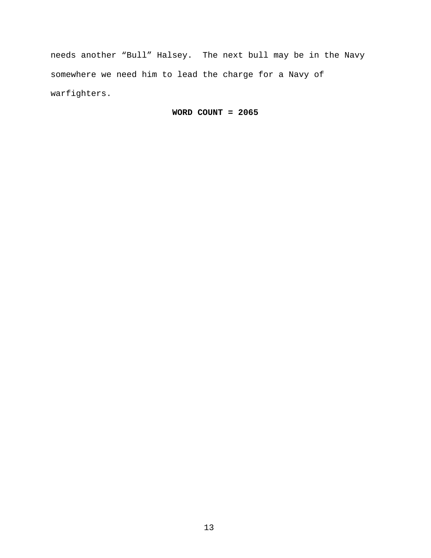needs another "Bull" Halsey. The next bull may be in the Navy somewhere we need him to lead the charge for a Navy of warfighters.

**WORD COUNT = 2065**